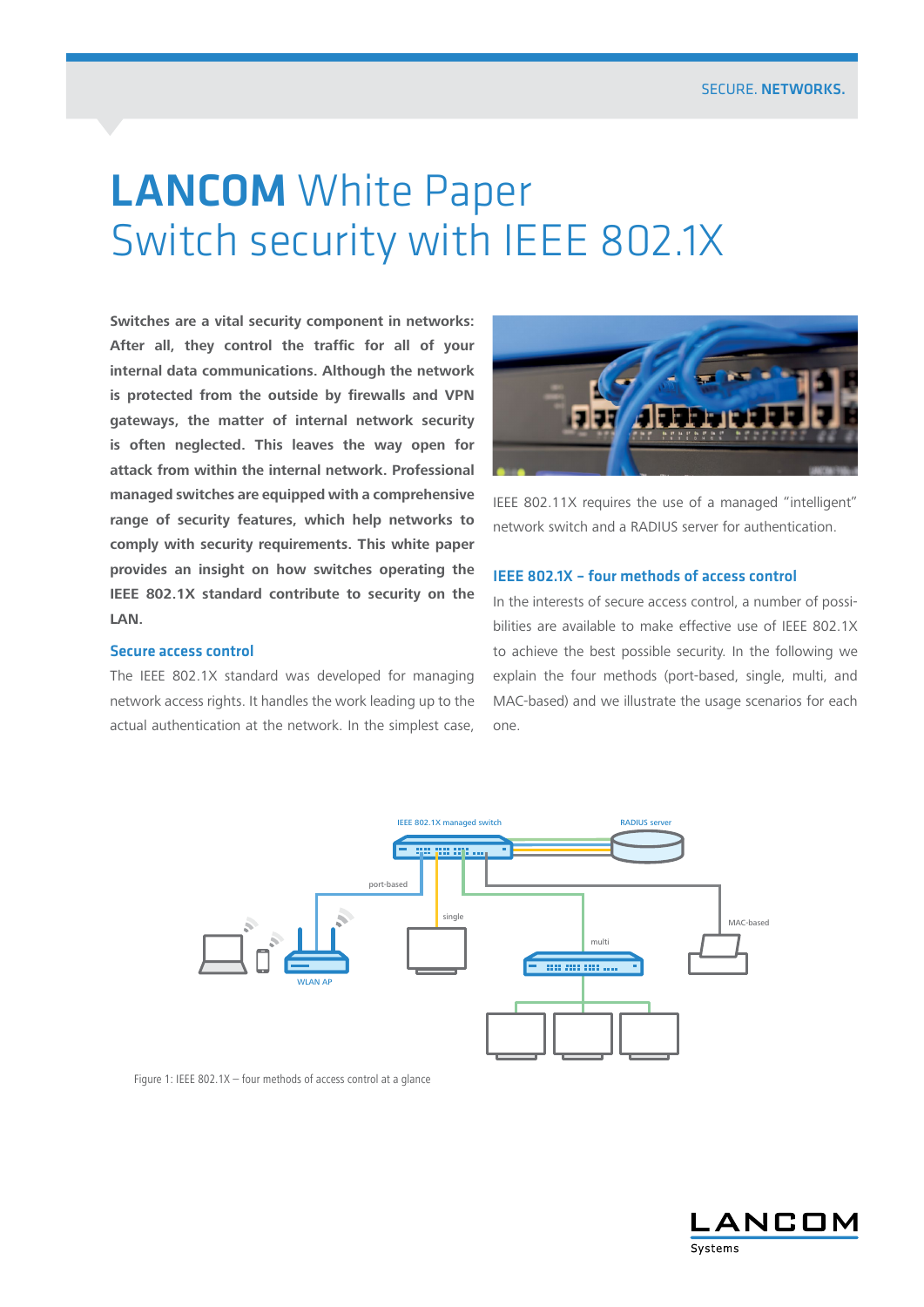# LANCOM White Paper Switch security with IEEE 802.1X

**Switches are a vital security component in networks: After all, they control the traffic for all of your internal data communications. Although the network is protected from the outside by firewalls and VPN gateways, the matter of internal network security is often neglected. This leaves the way open for attack from within the internal network. Professional managed switches are equipped with a comprehensive range of security features, which help networks to comply with security requirements. This white paper provides an insight on how switches operating the IEEE 802.1X standard contribute to security on the LAN.**

### Secure access control

The IEEE 802.1X standard was developed for managing network access rights. It handles the work leading up to the actual authentication at the network. In the simplest case,



IEEE 802.11X requires the use of a managed "intelligent" network switch and a RADIUS server for authentication.

## IEEE 802.1X – four methods of access control

In the interests of secure access control, a number of possibilities are available to make effective use of IEEE 802.1X to achieve the best possible security. In the following we explain the four methods (port-based, single, multi, and MAC-based) and we illustrate the usage scenarios for each one.



Figure 1: IEEE 802.1X – four methods of access control at a glance

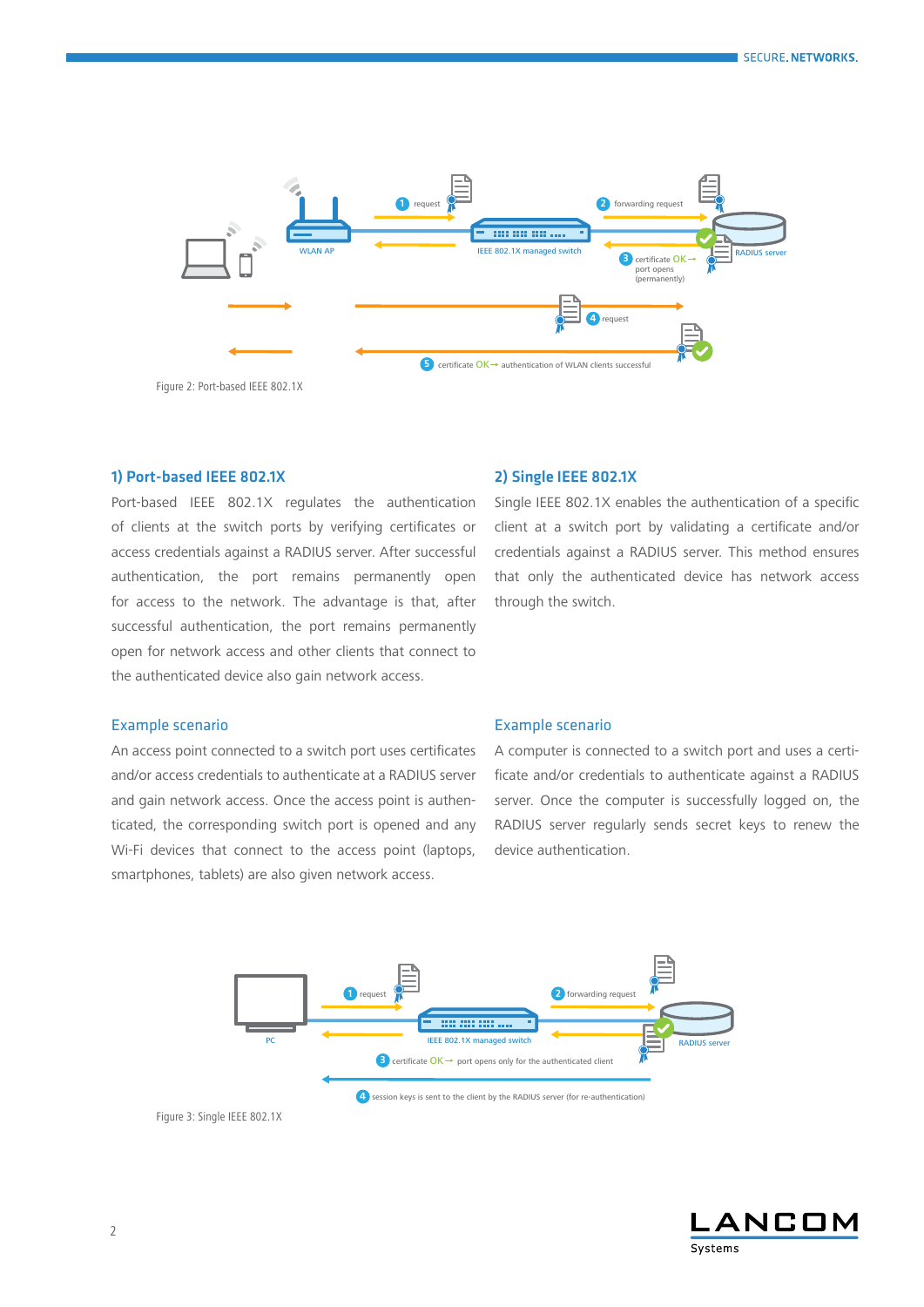

Figure 2: Port-based IEEE 802.1X

## 1) Port-based IEEE 802.1X

Port-based IEEE 802.1X regulates the authentication of clients at the switch ports by verifying certificates or access credentials against a RADIUS server. After successful authentication, the port remains permanently open for access to the network. The advantage is that, after successful authentication, the port remains permanently open for network access and other clients that connect to the authenticated device also gain network access.

#### 2) Single IEEE 802.1X

Single IEEE 802.1X enables the authentication of a specific client at a switch port by validating a certificate and/or credentials against a RADIUS server. This method ensures that only the authenticated device has network access through the switch.

## Example scenario

An access point connected to a switch port uses certificates and/or access credentials to authenticate at a RADIUS server and gain network access. Once the access point is authenticated, the corresponding switch port is opened and any Wi-Fi devices that connect to the access point (laptops, smartphones, tablets) are also given network access.

## Example scenario

A computer is connected to a switch port and uses a certificate and/or credentials to authenticate against a RADIUS server. Once the computer is successfully logged on, the RADIUS server regularly sends secret keys to renew the device authentication.



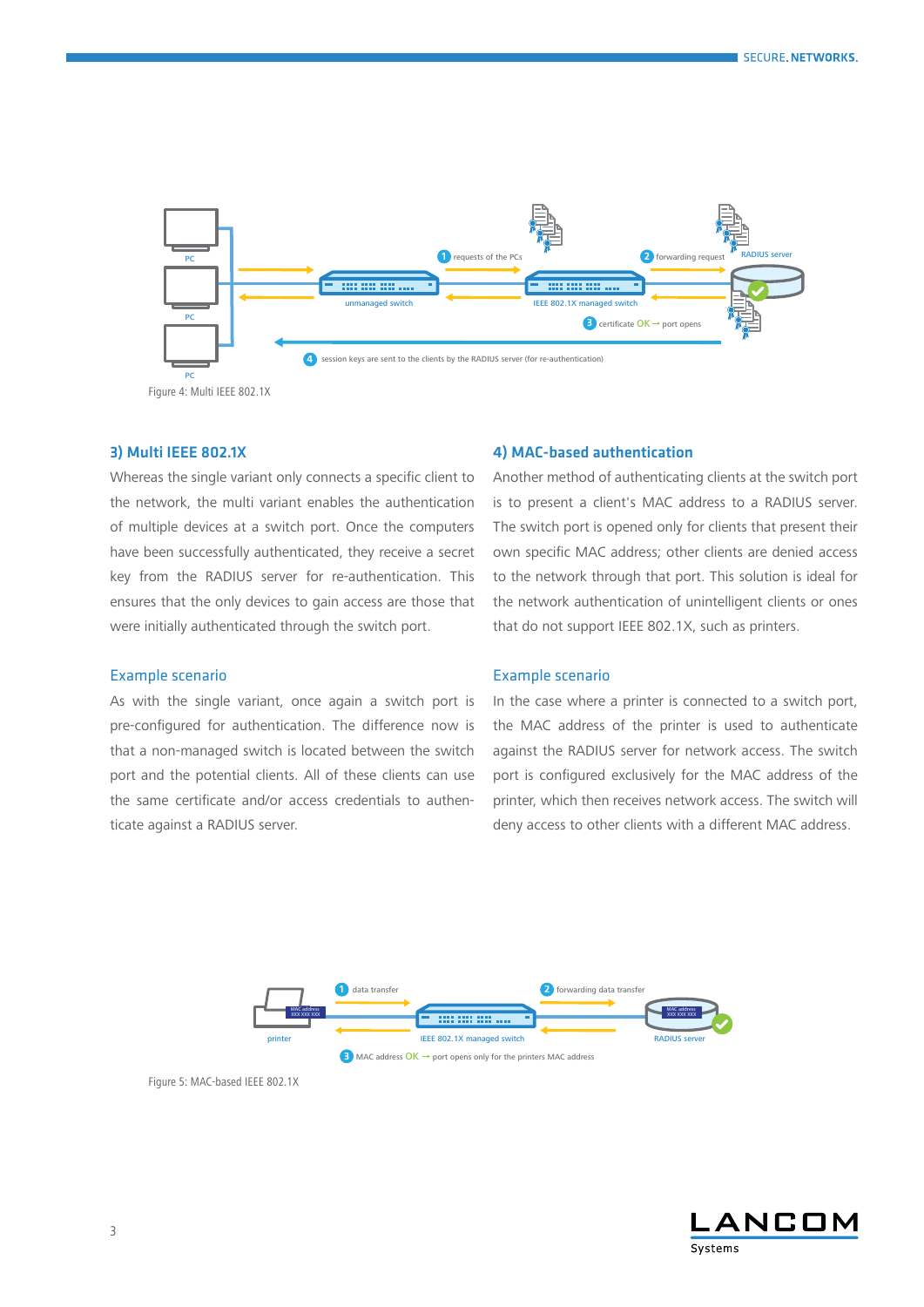

## 3) Multi IEEE 802.1X

Whereas the single variant only connects a specific client to the network, the multi variant enables the authentication of multiple devices at a switch port. Once the computers have been successfully authenticated, they receive a secret key from the RADIUS server for re-authentication. This ensures that the only devices to gain access are those that were initially authenticated through the switch port.

## 4) MAC-based authentication

Another method of authenticating clients at the switch port is to present a client's MAC address to a RADIUS server. The switch port is opened only for clients that present their own specific MAC address; other clients are denied access to the network through that port. This solution is ideal for the network authentication of unintelligent clients or ones that do not support IEEE 802.1X, such as printers.

#### Example scenario

As with the single variant, once again a switch port is pre-configured for authentication. The difference now is that a non-managed switch is located between the switch port and the potential clients. All of these clients can use the same certificate and/or access credentials to authenticate against a RADIUS server.

#### Example scenario

In the case where a printer is connected to a switch port, the MAC address of the printer is used to authenticate against the RADIUS server for network access. The switch port is configured exclusively for the MAC address of the printer, which then receives network access. The switch will deny access to other clients with a different MAC address.



Figure 5: MAC-based IEEE 802.1X